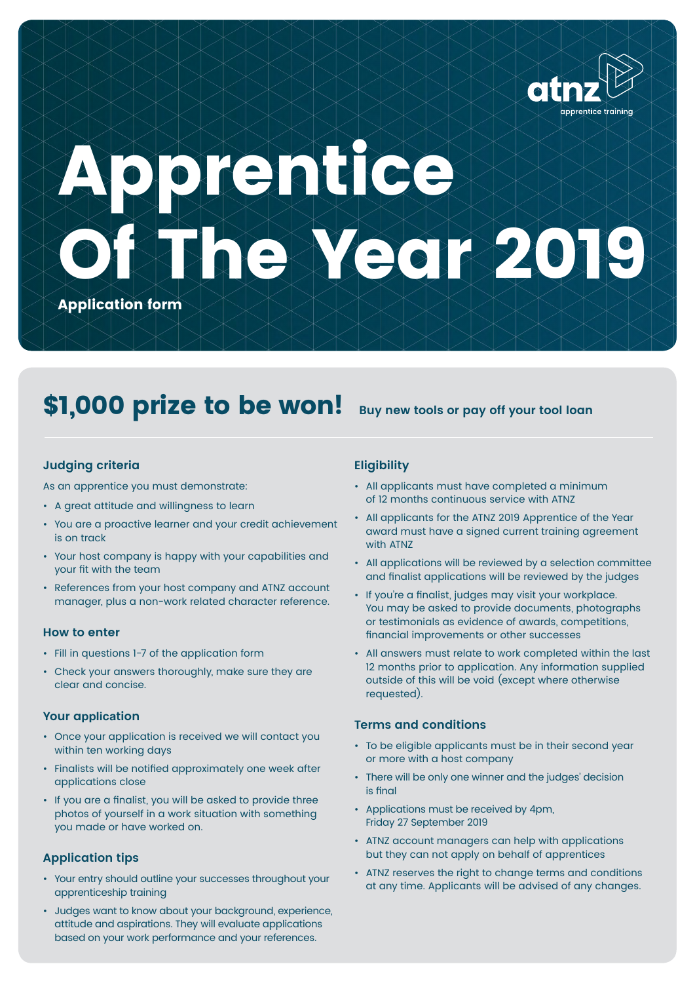

# **Apprentice Of The Year 2019**

**Application form**

## \$1,000 prize to be won! Buy new tools or pay off your tool loan

#### **Judging criteria**

As an apprentice you must demonstrate:

- A great attitude and willingness to learn
- You are a proactive learner and your credit achievement is on track
- Your host company is happy with your capabilities and your fit with the team
- References from your host company and ATNZ account manager, plus a non-work related character reference.

#### **How to enter**

- Fill in questions 1-7 of the application form
- Check your answers thoroughly, make sure they are clear and concise.

#### **Your a**pplica**tion**

- Once your application is received we will contact you within ten working days
- Finalists will be notified approximately one week after applications close
- If you are a finalist, you will be asked to provide three photos of yourself in a work situation with something you made or have worked on.

#### **Application tips**

- Your entry should outline your successes throughout your apprenticeship training
- Judges want to know about your background, experience, attitude and aspirations. They will evaluate applications based on your work performance and your references.

#### **Eligibility**

- All applicants must have completed a minimum of 12 months continuous service with ATNZ
- All applicants for the ATNZ 2019 Apprentice of the Year award must have a signed current training agreement with ATNZ
- All applications will be reviewed by a selection committee and finalist applications will be reviewed by the judges
- If you're a finalist, judges may visit your workplace. You may be asked to provide documents, photographs or testimonials as evidence of awards, competitions, financial improvements or other successes
- All answers must relate to work completed within the last 12 months prior to application. Any information supplied outside of this will be void (except where otherwise requested).

#### **Terms and conditions**

- To be eligible applicants must be in their second year or more with a host company
- There will be only one winner and the judges' decision is final
- Applications must be received by 4pm, Friday 27 September 2019
- ATNZ account managers can help with applications but they can not apply on behalf of apprentices
- ATNZ reserves the right to change terms and conditions at any time. Applicants will be advised of any changes.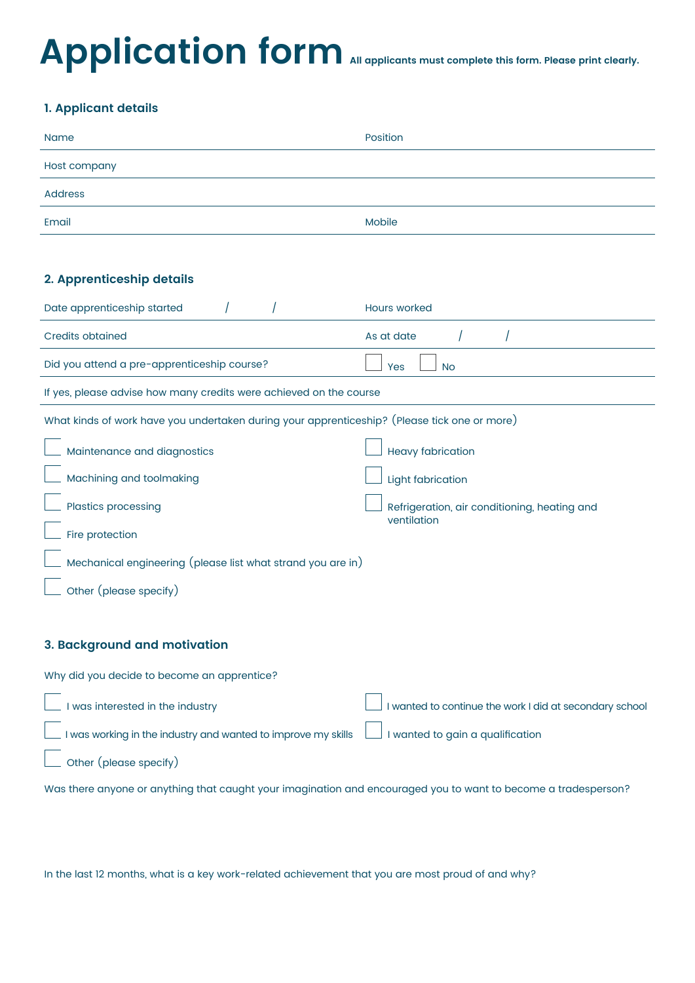## Application form **All applicants must complete this form. Please print clearly.**

### **1. Applicant details**

| <b>Name</b>  | Position |
|--------------|----------|
| Host company |          |
| Address      |          |
| Email        | Mobile   |

#### **2. Apprenticeship details**

| Date apprenticeship started                                                                  | <b>Hours worked</b>                                     |  |  |
|----------------------------------------------------------------------------------------------|---------------------------------------------------------|--|--|
| <b>Credits obtained</b>                                                                      | As at date                                              |  |  |
| Did you attend a pre-apprenticeship course?                                                  | <b>No</b><br>Yes                                        |  |  |
| If yes, please advise how many credits were achieved on the course                           |                                                         |  |  |
| What kinds of work have you undertaken during your apprenticeship? (Please tick one or more) |                                                         |  |  |
| Maintenance and diagnostics                                                                  | <b>Heavy fabrication</b>                                |  |  |
| Machining and toolmaking                                                                     | Light fabrication                                       |  |  |
| <b>Plastics processing</b>                                                                   | Refrigeration, air conditioning, heating and            |  |  |
| Fire protection                                                                              | ventilation                                             |  |  |
| Mechanical engineering (please list what strand you are in)                                  |                                                         |  |  |
| Other (please specify)                                                                       |                                                         |  |  |
|                                                                                              |                                                         |  |  |
| 3. Background and motivation                                                                 |                                                         |  |  |
| Why did you decide to become an apprentice?                                                  |                                                         |  |  |
| I was interested in the industry                                                             | I wanted to continue the work I did at secondary school |  |  |

I was working in the industry and wanted to improve my skills I wanted to gain a qualification

Other (please specify)

Was there anyone or anything that caught your imagination and encouraged you to want to become a tradesperson?

In the last 12 months, what is a key work-related achievement that you are most proud of and why?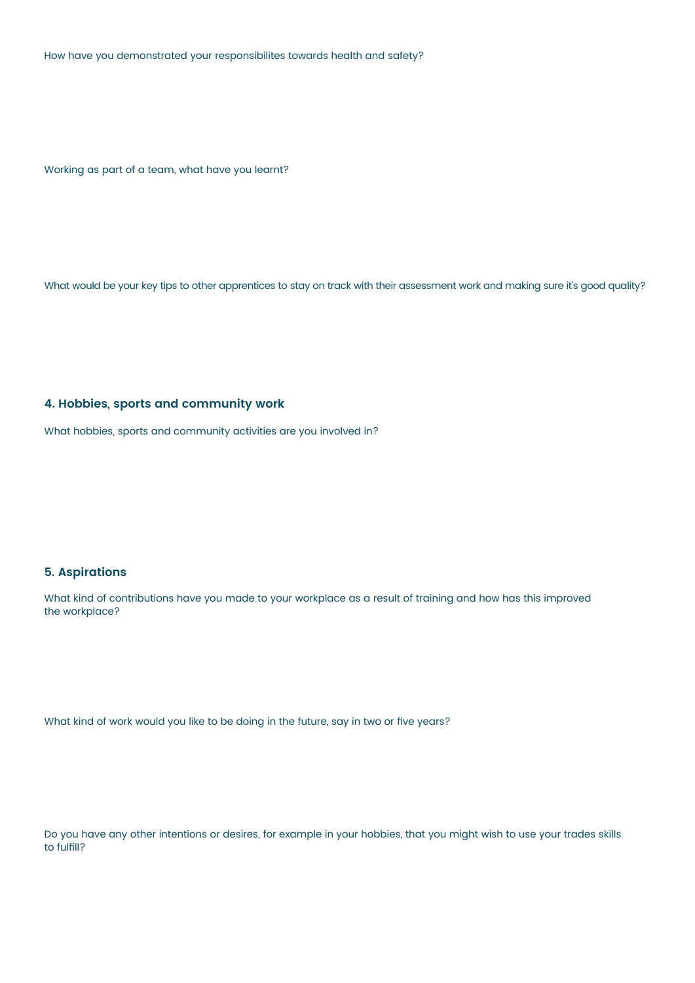How have you demonstrated your responsibilites towards health and safety?

Working as part of a team, what have you learnt?

What would be your key tips to other apprentices to stay on track with their assessment work and making sure it's good quality?

#### **4. Hobbies, sports and community work**

What hobbies, sports and community activities are you involved in?

#### **5. Aspirations**

What kind of contributions have you made to your workplace as a result of training and how has this improved the workplace?

What kind of work would you like to be doing in the future, say in two or five years?

Do you have any other intentions or desires, for example in your hobbies, that you might wish to use your trades skills to fulfill?